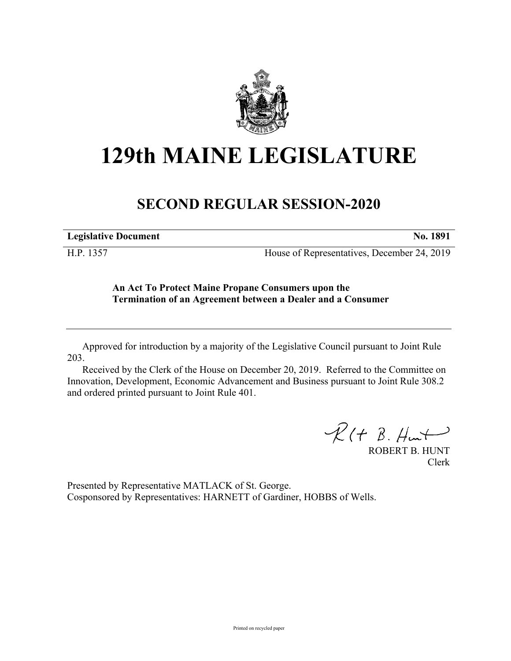

# **129th MAINE LEGISLATURE**

## **SECOND REGULAR SESSION-2020**

**Legislative Document No. 1891**

H.P. 1357 House of Representatives, December 24, 2019

### **An Act To Protect Maine Propane Consumers upon the Termination of an Agreement between a Dealer and a Consumer**

Approved for introduction by a majority of the Legislative Council pursuant to Joint Rule 203.

Received by the Clerk of the House on December 20, 2019. Referred to the Committee on Innovation, Development, Economic Advancement and Business pursuant to Joint Rule 308.2 and ordered printed pursuant to Joint Rule 401.

 $R(H B. H<sub>ur</sub>)$ 

ROBERT B. HUNT Clerk

Presented by Representative MATLACK of St. George. Cosponsored by Representatives: HARNETT of Gardiner, HOBBS of Wells.